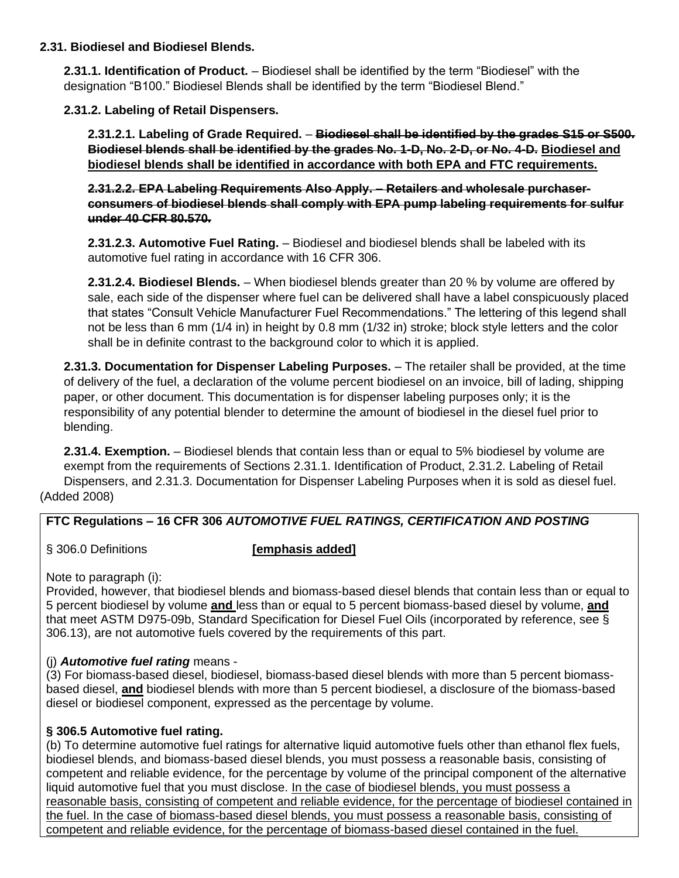#### **2.31. Biodiesel and Biodiesel Blends.**

**2.31.1. Identification of Product.** – Biodiesel shall be identified by the term "Biodiesel" with the designation "B100." Biodiesel Blends shall be identified by the term "Biodiesel Blend."

**2.31.2. Labeling of Retail Dispensers.**

**2.31.2.1. Labeling of Grade Required.** – **Biodiesel shall be identified by the grades S15 or S500. Biodiesel blends shall be identified by the grades No. 1-D, No. 2-D, or No. 4-D. Biodiesel and biodiesel blends shall be identified in accordance with both EPA and FTC requirements.**

**2.31.2.2. EPA Labeling Requirements Also Apply. – Retailers and wholesale purchaserconsumers of biodiesel blends shall comply with EPA pump labeling requirements for sulfur under 40 CFR 80.570.**

**2.31.2.3. Automotive Fuel Rating.** – Biodiesel and biodiesel blends shall be labeled with its automotive fuel rating in accordance with 16 CFR 306.

**2.31.2.4. Biodiesel Blends.** – When biodiesel blends greater than 20 % by volume are offered by sale, each side of the dispenser where fuel can be delivered shall have a label conspicuously placed that states "Consult Vehicle Manufacturer Fuel Recommendations." The lettering of this legend shall not be less than 6 mm (1/4 in) in height by 0.8 mm (1/32 in) stroke; block style letters and the color shall be in definite contrast to the background color to which it is applied.

**2.31.3. Documentation for Dispenser Labeling Purposes.** – The retailer shall be provided, at the time of delivery of the fuel, a declaration of the volume percent biodiesel on an invoice, bill of lading, shipping paper, or other document. This documentation is for dispenser labeling purposes only; it is the responsibility of any potential blender to determine the amount of biodiesel in the diesel fuel prior to blending.

**2.31.4. Exemption.** – Biodiesel blends that contain less than or equal to 5% biodiesel by volume are exempt from the requirements of Sections 2.31.1. Identification of Product, 2.31.2. Labeling of Retail Dispensers, and 2.31.3. Documentation for Dispenser Labeling Purposes when it is sold as diesel fuel. (Added 2008)

## **FTC Regulations – 16 CFR 306** *AUTOMOTIVE FUEL RATINGS, CERTIFICATION AND POSTING*

#### § 306.0 Definitions **[emphasis added]**

Note to paragraph (i):

Provided, however, that biodiesel blends and biomass-based diesel blends that contain less than or equal to 5 percent biodiesel by volume **and** less than or equal to 5 percent biomass-based diesel by volume, **and** that meet ASTM D975-09b, Standard Specification for Diesel Fuel Oils (incorporated by reference, see § 306.13), are not automotive fuels covered by the requirements of this part.

## (j) *Automotive fuel rating* means -

(3) For biomass-based diesel, biodiesel, biomass-based diesel blends with more than 5 percent biomassbased diesel, **and** biodiesel blends with more than 5 percent biodiesel, a disclosure of the biomass-based diesel or biodiesel component, expressed as the percentage by volume.

## **§ 306.5 Automotive fuel rating.**

(b) To determine automotive fuel ratings for alternative liquid automotive fuels other than ethanol flex fuels, biodiesel blends, and biomass-based diesel blends, you must possess a reasonable basis, consisting of competent and reliable evidence, for the percentage by volume of the principal component of the alternative liquid automotive fuel that you must disclose. In the case of biodiesel blends, you must possess a reasonable basis, consisting of competent and reliable evidence, for the percentage of biodiesel contained in the fuel. In the case of biomass-based diesel blends, you must possess a reasonable basis, consisting of competent and reliable evidence, for the percentage of biomass-based diesel contained in the fuel.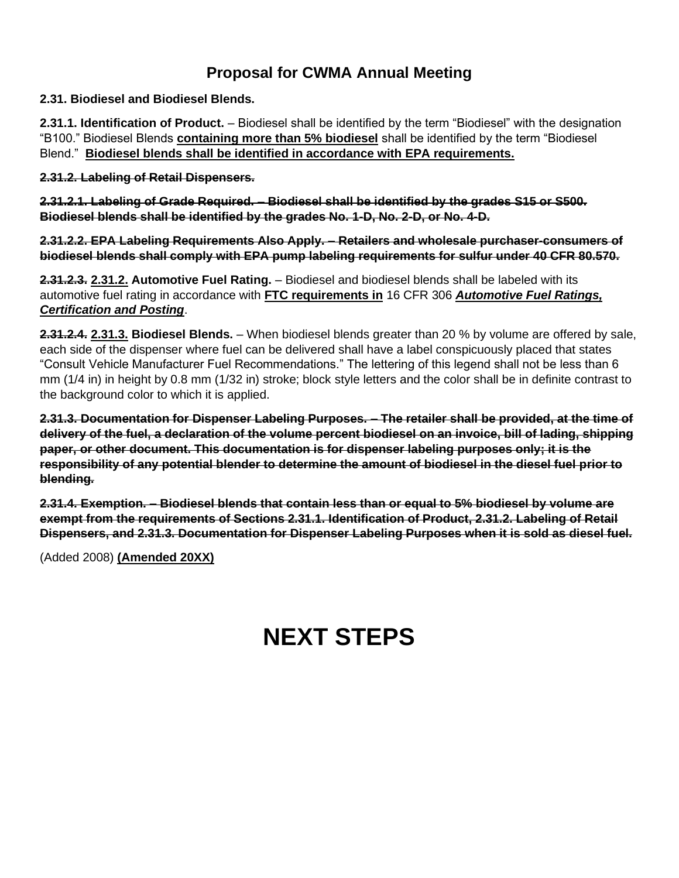# **Proposal for CWMA Annual Meeting**

#### **2.31. Biodiesel and Biodiesel Blends.**

**2.31.1. Identification of Product.** – Biodiesel shall be identified by the term "Biodiesel" with the designation "B100." Biodiesel Blends **containing more than 5% biodiesel** shall be identified by the term "Biodiesel Blend." **Biodiesel blends shall be identified in accordance with EPA requirements.**

**2.31.2. Labeling of Retail Dispensers.**

**2.31.2.1. Labeling of Grade Required.** – **Biodiesel shall be identified by the grades S15 or S500. Biodiesel blends shall be identified by the grades No. 1-D, No. 2-D, or No. 4-D.** 

**2.31.2.2. EPA Labeling Requirements Also Apply. – Retailers and wholesale purchaser-consumers of biodiesel blends shall comply with EPA pump labeling requirements for sulfur under 40 CFR 80.570.**

**2.31.2.3. 2.31.2. Automotive Fuel Rating.** – Biodiesel and biodiesel blends shall be labeled with its automotive fuel rating in accordance with **FTC requirements in** 16 CFR 306 *Automotive Fuel Ratings, Certification and Posting*.

**2.31.2.4. 2.31.3. Biodiesel Blends.** – When biodiesel blends greater than 20 % by volume are offered by sale, each side of the dispenser where fuel can be delivered shall have a label conspicuously placed that states "Consult Vehicle Manufacturer Fuel Recommendations." The lettering of this legend shall not be less than 6 mm (1/4 in) in height by 0.8 mm (1/32 in) stroke; block style letters and the color shall be in definite contrast to the background color to which it is applied.

**2.31.3. Documentation for Dispenser Labeling Purposes. – The retailer shall be provided, at the time of delivery of the fuel, a declaration of the volume percent biodiesel on an invoice, bill of lading, shipping paper, or other document. This documentation is for dispenser labeling purposes only; it is the responsibility of any potential blender to determine the amount of biodiesel in the diesel fuel prior to blending.**

**2.31.4. Exemption. – Biodiesel blends that contain less than or equal to 5% biodiesel by volume are exempt from the requirements of Sections 2.31.1. Identification of Product, 2.31.2. Labeling of Retail Dispensers, and 2.31.3. Documentation for Dispenser Labeling Purposes when it is sold as diesel fuel.**

(Added 2008) **(Amended 20XX)**

# **NEXT STEPS**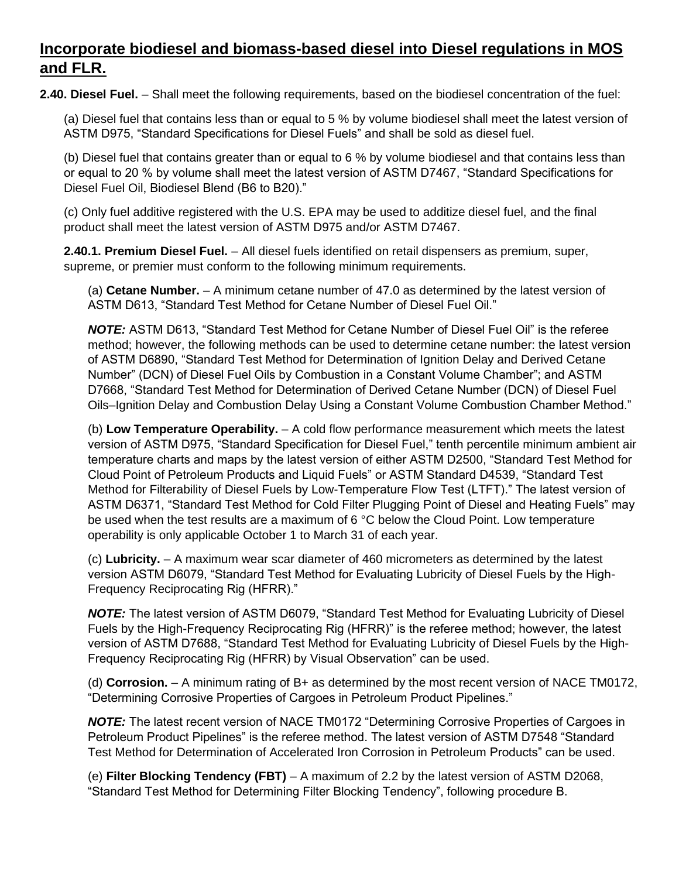## **Incorporate biodiesel and biomass-based diesel into Diesel regulations in MOS and FLR.**

**2.40. Diesel Fuel.** – Shall meet the following requirements, based on the biodiesel concentration of the fuel:

(a) Diesel fuel that contains less than or equal to 5 % by volume biodiesel shall meet the latest version of ASTM D975, "Standard Specifications for Diesel Fuels" and shall be sold as diesel fuel.

(b) Diesel fuel that contains greater than or equal to 6 % by volume biodiesel and that contains less than or equal to 20 % by volume shall meet the latest version of ASTM D7467, "Standard Specifications for Diesel Fuel Oil, Biodiesel Blend (B6 to B20)."

(c) Only fuel additive registered with the U.S. EPA may be used to additize diesel fuel, and the final product shall meet the latest version of ASTM D975 and/or ASTM D7467.

**2.40.1. Premium Diesel Fuel.** – All diesel fuels identified on retail dispensers as premium, super, supreme, or premier must conform to the following minimum requirements.

(a) **Cetane Number.** – A minimum cetane number of 47.0 as determined by the latest version of ASTM D613, "Standard Test Method for Cetane Number of Diesel Fuel Oil."

*NOTE:* ASTM D613, "Standard Test Method for Cetane Number of Diesel Fuel Oil" is the referee method; however, the following methods can be used to determine cetane number: the latest version of ASTM D6890, "Standard Test Method for Determination of Ignition Delay and Derived Cetane Number" (DCN) of Diesel Fuel Oils by Combustion in a Constant Volume Chamber"; and ASTM D7668, "Standard Test Method for Determination of Derived Cetane Number (DCN) of Diesel Fuel Oils–Ignition Delay and Combustion Delay Using a Constant Volume Combustion Chamber Method."

(b) **Low Temperature Operability.** – A cold flow performance measurement which meets the latest version of ASTM D975, "Standard Specification for Diesel Fuel," tenth percentile minimum ambient air temperature charts and maps by the latest version of either ASTM D2500, "Standard Test Method for Cloud Point of Petroleum Products and Liquid Fuels" or ASTM Standard D4539, "Standard Test Method for Filterability of Diesel Fuels by Low-Temperature Flow Test (LTFT)." The latest version of ASTM D6371, "Standard Test Method for Cold Filter Plugging Point of Diesel and Heating Fuels" may be used when the test results are a maximum of 6 °C below the Cloud Point. Low temperature operability is only applicable October 1 to March 31 of each year.

(c) **Lubricity.** – A maximum wear scar diameter of 460 micrometers as determined by the latest version ASTM D6079, "Standard Test Method for Evaluating Lubricity of Diesel Fuels by the High-Frequency Reciprocating Rig (HFRR)."

*NOTE:* The latest version of ASTM D6079, "Standard Test Method for Evaluating Lubricity of Diesel Fuels by the High-Frequency Reciprocating Rig (HFRR)" is the referee method; however, the latest version of ASTM D7688, "Standard Test Method for Evaluating Lubricity of Diesel Fuels by the High-Frequency Reciprocating Rig (HFRR) by Visual Observation" can be used.

(d) **Corrosion.** – A minimum rating of B+ as determined by the most recent version of NACE TM0172, "Determining Corrosive Properties of Cargoes in Petroleum Product Pipelines."

*NOTE:* The latest recent version of NACE TM0172 "Determining Corrosive Properties of Cargoes in Petroleum Product Pipelines" is the referee method. The latest version of ASTM D7548 "Standard Test Method for Determination of Accelerated Iron Corrosion in Petroleum Products" can be used.

(e) **Filter Blocking Tendency (FBT)** – A maximum of 2.2 by the latest version of ASTM D2068, "Standard Test Method for Determining Filter Blocking Tendency", following procedure B.